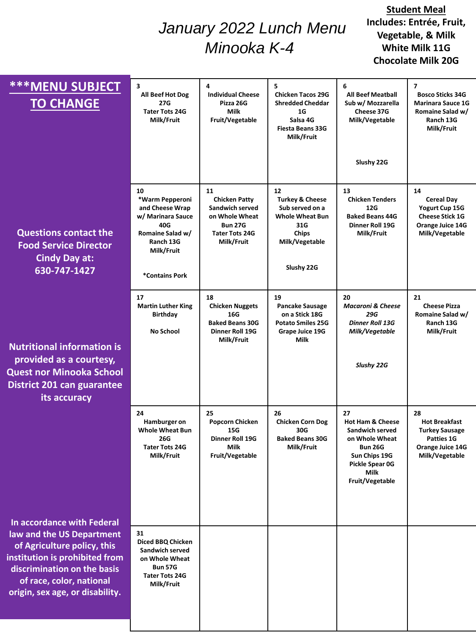## *January 2022 Lunch Menu Minooka K-4*

## **Student Meal Includes: Entrée, Fruit, Vegetable, & Milk White Milk 11G Chocolate Milk 20G**

| <b>***MENU SUBJECT</b><br><b>TO CHANGE</b>                                                                                                                                               | 3<br>All Beef Hot Dog<br>27G<br><b>Tater Tots 24G</b><br>Milk/Fruit                                                                   | 4<br><b>Individual Cheese</b><br>Pizza 26G<br><b>Milk</b><br>Fruit/Vegetable                                             | 5<br><b>Chicken Tacos 29G</b><br><b>Shredded Cheddar</b><br>1G<br>Salsa 4G<br><b>Fiesta Beans 33G</b><br>Milk/Fruit           | 6<br><b>All Beef Meatball</b><br>Sub w/ Mozzarella<br>Cheese 37G<br>Milk/Vegetable                                                                      | $\overline{\mathbf{z}}$<br><b>Bosco Sticks 34G</b><br><b>Marinara Sauce 1G</b><br>Romaine Salad w/<br>Ranch 13G<br>Milk/Fruit |
|------------------------------------------------------------------------------------------------------------------------------------------------------------------------------------------|---------------------------------------------------------------------------------------------------------------------------------------|--------------------------------------------------------------------------------------------------------------------------|-------------------------------------------------------------------------------------------------------------------------------|---------------------------------------------------------------------------------------------------------------------------------------------------------|-------------------------------------------------------------------------------------------------------------------------------|
| <b>Questions contact the</b><br><b>Food Service Director</b><br><b>Cindy Day at:</b><br>630-747-1427                                                                                     | 10<br>*Warm Pepperoni<br>and Cheese Wrap<br>w/ Marinara Sauce<br>40G<br>Romaine Salad w/<br>Ranch 13G<br>Milk/Fruit<br>*Contains Pork | 11<br><b>Chicken Patty</b><br>Sandwich served<br>on Whole Wheat<br><b>Bun 27G</b><br><b>Tater Tots 24G</b><br>Milk/Fruit | 12<br><b>Turkey &amp; Cheese</b><br>Sub served on a<br><b>Whole Wheat Bun</b><br>31G<br>Chips<br>Milk/Vegetable<br>Slushy 22G | Slushy 22G<br>13<br><b>Chicken Tenders</b><br>12G<br><b>Baked Beans 44G</b><br>Dinner Roll 19G<br>Milk/Fruit                                            | 14<br><b>Cereal Day</b><br>Yogurt Cup 15G<br><b>Cheese Stick 1G</b><br>Orange Juice 14G<br>Milk/Vegetable                     |
| <b>Nutritional information is</b><br>provided as a courtesy,<br><b>Quest nor Minooka School</b><br><b>District 201 can guarantee</b><br>its accuracy                                     | 17<br><b>Martin Luther King</b><br><b>Birthday</b><br><b>No School</b>                                                                | 18<br><b>Chicken Nuggets</b><br>16G<br><b>Baked Beans 30G</b><br>Dinner Roll 19G<br>Milk/Fruit                           | 19<br>Pancake Sausage<br>on a Stick 18G<br><b>Potato Smiles 25G</b><br>Grape Juice 19G<br><b>Milk</b>                         | 20<br><b>Macaroni &amp; Cheese</b><br><b>29G</b><br><b>Dinner Roll 13G</b><br>Milk/Vegetable<br>Slushy 22G                                              | 21<br><b>Cheese Pizza</b><br>Romaine Salad w/<br>Ranch 13G<br>Milk/Fruit                                                      |
| In accordance with Federal                                                                                                                                                               | 24<br>Hamburger on<br><b>Whole Wheat Bun</b><br>26G<br><b>Tater Tots 24G</b><br>Milk/Fruit                                            | 25<br>Popcorn Chicken<br>15G<br><b>Dinner Roll 19G</b><br>Milk<br>Fruit/Vegetable                                        | 26<br><b>Chicken Corn Dog</b><br>30G<br><b>Baked Beans 30G</b><br>Milk/Fruit                                                  | 27<br><b>Hot Ham &amp; Cheese</b><br>Sandwich served<br>on Whole Wheat<br><b>Bun 26G</b><br>Sun Chips 19G<br>Pickle Spear 0G<br>Milk<br>Fruit/Vegetable | 28<br>Hot Breakfast<br><b>Turkey Sausage</b><br>Patties 1G<br>Orange Juice 14G<br>Milk/Vegetable                              |
| law and the US Department<br>of Agriculture policy, this<br>institution is prohibited from<br>discrimination on the basis<br>of race, color, national<br>origin, sex age, or disability. | 31<br>Diced BBQ Chicken<br>Sandwich served<br>on Whole Wheat<br><b>Bun 57G</b><br><b>Tater Tots 24G</b><br>Milk/Fruit                 |                                                                                                                          |                                                                                                                               |                                                                                                                                                         |                                                                                                                               |